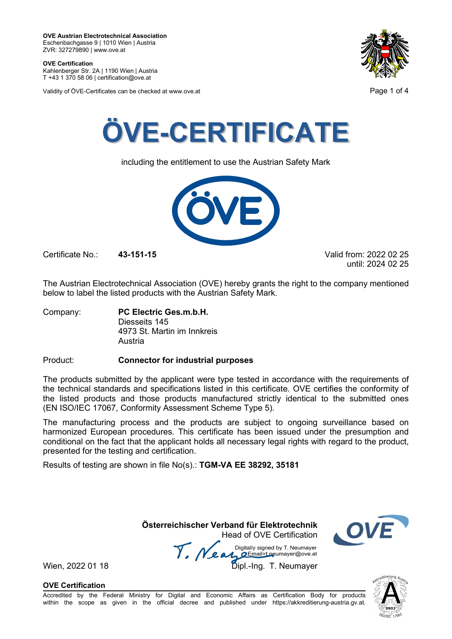**OVE Certification** Kahlenberger Str. 2A | 1190 Wien | Austria

T +43 1 370 58 06 | certification@ove.at

Validity of ÖVE-Certificates can be checked at www.ove.at **Page 1 of 4** Page 1 of 4





including the entitlement to use the Austrian Safety Mark



Certificate No.: **43-151-15** Valid from: 2022 02 25

until: 2024 02 25

The Austrian Electrotechnical Association (OVE) hereby grants the right to the company mentioned below to label the listed products with the Austrian Safety Mark.

Company: **PC Electric Ges.m.b.H.** Diesseits 145 4973 St. Martin im Innkreis Austria

Product: **Connector for industrial purposes**

The products submitted by the applicant were type tested in accordance with the requirements of the technical standards and specifications listed in this certificate. OVE certifies the conformity of the listed products and those products manufactured strictly identical to the submitted ones (EN ISO/IEC 17067, Conformity Assessment Scheme Type 5).

The manufacturing process and the products are subject to ongoing surveillance based on harmonized European procedures. This certificate has been issued under the presumption and conditional on the fact that the applicant holds all necessary legal rights with regard to the product, presented for the testing and certification.

Results of testing are shown in file No(s).: **TGM-VA EE 38292, 35181**

 **Österreichischer Verband für Elektrotechnik** Head of OVE Certification



Wien, 2022 01 18 Mean Manus Signeu by Liveumayer<br>Wien, 2022 01 18 Dipl.-Ing. T. Neumayer

**OVE Certification**

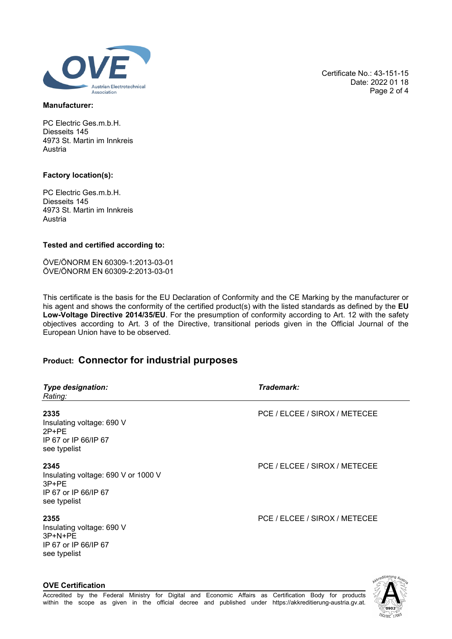

### **Manufacturer:**

PC Electric Ges.m.b.H. Diesseits 145 4973 St. Martin im Innkreis Austria

### **Factory location(s):**

PC Electric Ges.m.b.H. Diesseits 145 4973 St. Martin im Innkreis Austria

### **Tested and certified according to:**

ÖVE/ÖNORM EN 60309-1:2013-03-01 ÖVE/ÖNORM EN 60309-2:2013-03-01

This certificate is the basis for the EU Declaration of Conformity and the CE Marking by the manufacturer or his agent and shows the conformity of the certified product(s) with the listed standards as defined by the **EU Low-Voltage Directive 2014/35/EU**. For the presumption of conformity according to Art. 12 with the safety objectives according to Art. 3 of the Directive, transitional periods given in the Official Journal of the European Union have to be observed.

## **Product: Connector for industrial purposes**

| <b>Type designation:</b><br>Rating:                                                            | Trademark:                    |
|------------------------------------------------------------------------------------------------|-------------------------------|
| 2335<br>Insulating voltage: 690 V<br>$2P+PE$<br>IP 67 or IP 66/IP 67<br>see typelist           | PCE / ELCEE / SIROX / METECEE |
| 2345<br>Insulating voltage: 690 V or 1000 V<br>$3P+PE$<br>IP 67 or IP 66/IP 67<br>see typelist | PCE / ELCEE / SIROX / METECEE |
| 2355<br>Insulating voltage: 690 V<br>$3P+N+PE$<br>IP 67 or IP 66/IP 67<br>see typelist         | PCE / ELCEE / SIROX / METECEE |



Certificate No.: 43-151-15

Date: 2022 01 18 Page 2 of 4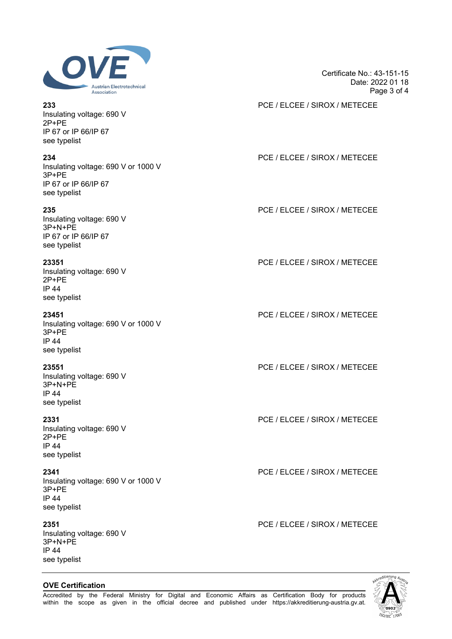

Insulating voltage: 690 V 2P+PE IP 67 or IP 66/IP 67 see typelist

Insulating voltage: 690 V or 1000 V 3P+PE IP 67 or IP 66/IP 67 see typelist

Insulating voltage: 690 V 3P+N+PE IP 67 or IP 66/IP 67 see typelist

Insulating voltage: 690 V 2P+PE IP 44 see typelist

Insulating voltage: 690 V or 1000 V 3P+PE IP 44 see typelist

Insulating voltage: 690 V 3P+N+PE IP 44 see typelist

Insulating voltage: 690 V 2P+PE IP 44 see typelist

Insulating voltage: 690 V or 1000 V 3P+PE IP 44 see typelist

Insulating voltage: 690 V 3P+N+PE IP 44 see typelist

**OVE Certification**

## Certificate No.: 43-151-15 Date: 2022 01 18 Page 3 of 4

**233** PCE / ELCEE / SIROX / METECEE

## **234** PCE / ELCEE / SIROX / METECEE

**235** PCE / ELCEE / SIROX / METECEE

**23351** PCE / ELCEE / SIROX / METECEE

**23451** PCE / ELCEE / SIROX / METECEE

**23551** PCE / ELCEE / SIROX / METECEE

**2331** PCE / ELCEE / SIROX / METECEE

**2341** PCE / ELCEE / SIROX / METECEE

**2351** PCE / ELCEE / SIROX / METECEE